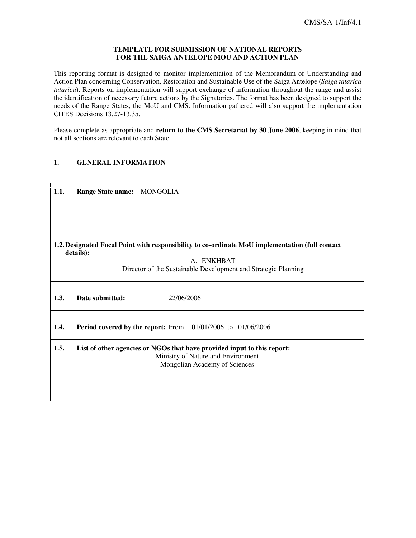#### **TEMPLATE FOR SUBMISSION OF NATIONAL REPORTS FOR THE SAIGA ANTELOPE MOU AND ACTION PLAN**

This reporting format is designed to monitor implementation of the Memorandum of Understanding and Action Plan concerning Conservation, Restoration and Sustainable Use of the Saiga Antelope (*Saiga tatarica tatarica*). Reports on implementation will support exchange of information throughout the range and assist the identification of necessary future actions by the Signatories. The format has been designed to support the needs of the Range States, the MoU and CMS. Information gathered will also support the implementation CITES Decisions 13.27-13.35.

Please complete as appropriate and **return to the CMS Secretariat by 30 June 2006**, keeping in mind that not all sections are relevant to each State.

## **1. GENERAL INFORMATION**

| 1.1.<br>Range State name: MONGOLIA                                                                           |  |
|--------------------------------------------------------------------------------------------------------------|--|
|                                                                                                              |  |
|                                                                                                              |  |
|                                                                                                              |  |
| 1.2. Designated Focal Point with responsibility to co-ordinate MoU implementation (full contact<br>details): |  |
| A. ENKHBAT                                                                                                   |  |
| Director of the Sustainable Development and Strategic Planning                                               |  |
|                                                                                                              |  |
| 22/06/2006<br>Date submitted:<br>1.3.                                                                        |  |
|                                                                                                              |  |
| Period covered by the report: From 01/01/2006 to 01/06/2006<br>1.4.                                          |  |
| 1.5.<br>List of other agencies or NGOs that have provided input to this report:                              |  |
| Ministry of Nature and Environment                                                                           |  |
| Mongolian Academy of Sciences                                                                                |  |
|                                                                                                              |  |
|                                                                                                              |  |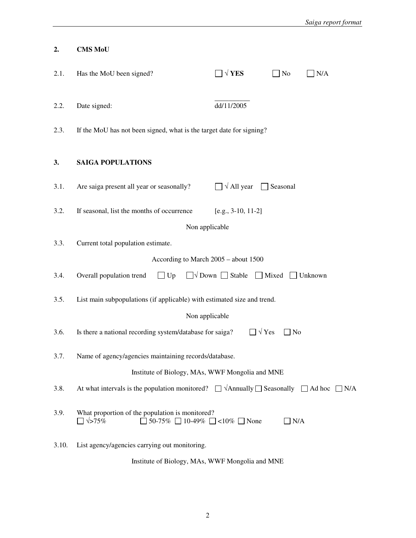| 2.                                              | <b>CMS MoU</b>                                                                                                                |                      |               |     |  |  |
|-------------------------------------------------|-------------------------------------------------------------------------------------------------------------------------------|----------------------|---------------|-----|--|--|
| 2.1.                                            | Has the MoU been signed?                                                                                                      | $\Box \vee$ YES      | $\Box$ No     | N/A |  |  |
| 2.2.                                            | Date signed:                                                                                                                  | dd/11/2005           |               |     |  |  |
| 2.3.                                            | If the MoU has not been signed, what is the target date for signing?                                                          |                      |               |     |  |  |
| 3.                                              | <b>SAIGA POPULATIONS</b>                                                                                                      |                      |               |     |  |  |
| 3.1.                                            | Are saiga present all year or seasonally?                                                                                     | $\Box \vee$ All year | Seasonal      |     |  |  |
| 3.2.                                            | If seasonal, list the months of occurrence                                                                                    | $[e.g., 3-10, 11-2]$ |               |     |  |  |
|                                                 | Non applicable                                                                                                                |                      |               |     |  |  |
| 3.3.                                            | Current total population estimate.                                                                                            |                      |               |     |  |  |
|                                                 | According to March 2005 - about 1500                                                                                          |                      |               |     |  |  |
| 3.4.                                            | Overall population trend<br>$\Box$ Up<br>$\Box \lor$ Down $\Box$ Stable $\Box$ Mixed $\Box$ Unknown                           |                      |               |     |  |  |
| 3.5.                                            | List main subpopulations (if applicable) with estimated size and trend.                                                       |                      |               |     |  |  |
| Non applicable                                  |                                                                                                                               |                      |               |     |  |  |
| 3.6.                                            | $\sqrt{Y}$ es<br>Is there a national recording system/database for saiga?<br>No                                               |                      |               |     |  |  |
| 3.7.                                            | Name of agency/agencies maintaining records/database.                                                                         |                      |               |     |  |  |
| Institute of Biology, MAs, WWF Mongolia and MNE |                                                                                                                               |                      |               |     |  |  |
| 3.8.                                            | At what intervals is the population monitored? $\Box \forall$ Annually $\Box$ Seasonally $\Box$ Ad hoc $\Box$ N/A             |                      |               |     |  |  |
| 3.9.                                            | What proportion of the population is monitored?<br>$\Box \sqrt{>}75\%$<br>$\Box$ 50-75% $\Box$ 10-49% $\Box$ <10% $\Box$ None |                      | $\exists$ N/A |     |  |  |
| 3.10.                                           | List agency/agencies carrying out monitoring.                                                                                 |                      |               |     |  |  |
|                                                 | Institute of Biology, MAs, WWF Mongolia and MNE                                                                               |                      |               |     |  |  |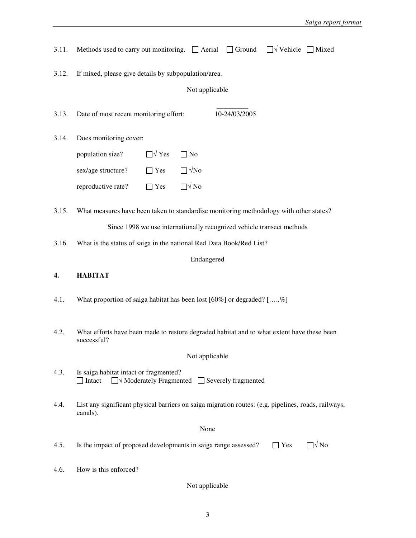| 3.11. | $\Box \forall$ Vehicle $\Box$ Mixed<br>Methods used to carry out monitoring. $\Box$ Aerial<br>$\Box$ Ground         |  |  |  |  |  |  |
|-------|---------------------------------------------------------------------------------------------------------------------|--|--|--|--|--|--|
| 3.12. | If mixed, please give details by subpopulation/area.                                                                |  |  |  |  |  |  |
|       | Not applicable                                                                                                      |  |  |  |  |  |  |
| 3.13. | 10-24/03/2005<br>Date of most recent monitoring effort:                                                             |  |  |  |  |  |  |
| 3.14. | Does monitoring cover:                                                                                              |  |  |  |  |  |  |
|       | $\Box \forall$ Yes<br>population size?<br>$\Box$ No                                                                 |  |  |  |  |  |  |
|       | $\Box \sqrt{\text{No}}$<br>sex/age structure?<br>$\Box$ Yes                                                         |  |  |  |  |  |  |
|       | $\Box \sqrt{\text{No}}$<br>reproductive rate?<br>$\Box$ Yes                                                         |  |  |  |  |  |  |
| 3.15. | What measures have been taken to standardise monitoring methodology with other states?                              |  |  |  |  |  |  |
|       | Since 1998 we use internationally recognized vehicle transect methods                                               |  |  |  |  |  |  |
| 3.16. | What is the status of saiga in the national Red Data Book/Red List?                                                 |  |  |  |  |  |  |
|       | Endangered                                                                                                          |  |  |  |  |  |  |
| 4.    | <b>HABITAT</b>                                                                                                      |  |  |  |  |  |  |
| 4.1.  | What proportion of saiga habitat has been lost $[60\%]$ or degraded? $[\%]$                                         |  |  |  |  |  |  |
| 4.2.  | What efforts have been made to restore degraded habitat and to what extent have these been<br>successful?           |  |  |  |  |  |  |
|       | Not applicable                                                                                                      |  |  |  |  |  |  |
| 4.3.  | Is saiga habitat intact or fragmented?<br>$\Box \forall$ Moderately Fragmented $\Box$ Severely fragmented<br>Intact |  |  |  |  |  |  |
| 4.4.  | List any significant physical barriers on saiga migration routes: (e.g. pipelines, roads, railways,<br>canals).     |  |  |  |  |  |  |
|       | None                                                                                                                |  |  |  |  |  |  |
| 4.5.  | $\square \vee$ No<br>Is the impact of proposed developments in saiga range assessed?<br>Yes                         |  |  |  |  |  |  |
| 4.6.  | How is this enforced?                                                                                               |  |  |  |  |  |  |
|       |                                                                                                                     |  |  |  |  |  |  |

Not applicable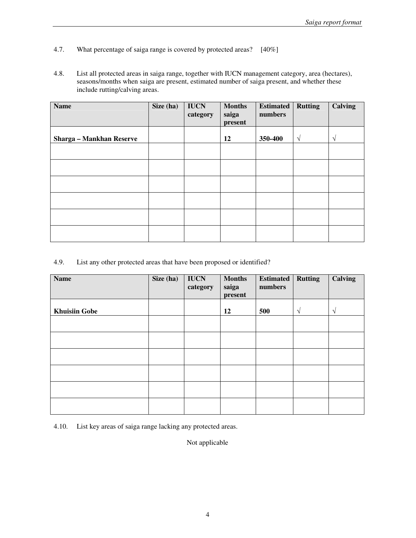- 4.7. What percentage of saiga range is covered by protected areas? [40%]
- 4.8. List all protected areas in saiga range, together with IUCN management category, area (hectares), seasons/months when saiga are present, estimated number of saiga present, and whether these include rutting/calving areas.

| <b>Name</b>                     | Size (ha) | <b>IUCN</b><br>category | <b>Months</b><br>saiga<br>present | <b>Estimated</b><br>numbers | <b>Rutting</b> | <b>Calving</b> |
|---------------------------------|-----------|-------------------------|-----------------------------------|-----------------------------|----------------|----------------|
| <b>Sharga - Mankhan Reserve</b> |           |                         | 12                                | 350-400                     | $\sqrt{ }$     | $\mathcal{L}$  |
|                                 |           |                         |                                   |                             |                |                |
|                                 |           |                         |                                   |                             |                |                |
|                                 |           |                         |                                   |                             |                |                |
|                                 |           |                         |                                   |                             |                |                |
|                                 |           |                         |                                   |                             |                |                |
|                                 |           |                         |                                   |                             |                |                |

### 4.9. List any other protected areas that have been proposed or identified?

| <b>Name</b>          | Size (ha) | <b>IUCN</b><br>category | <b>Months</b><br>saiga<br>present | <b>Estimated</b><br>numbers | <b>Rutting</b> | <b>Calving</b> |
|----------------------|-----------|-------------------------|-----------------------------------|-----------------------------|----------------|----------------|
| <b>Khuisiin Gobe</b> |           |                         | 12                                | 500                         | V              | $\sqrt{ }$     |
|                      |           |                         |                                   |                             |                |                |
|                      |           |                         |                                   |                             |                |                |
|                      |           |                         |                                   |                             |                |                |
|                      |           |                         |                                   |                             |                |                |
|                      |           |                         |                                   |                             |                |                |
|                      |           |                         |                                   |                             |                |                |

4.10. List key areas of saiga range lacking any protected areas.

Not applicable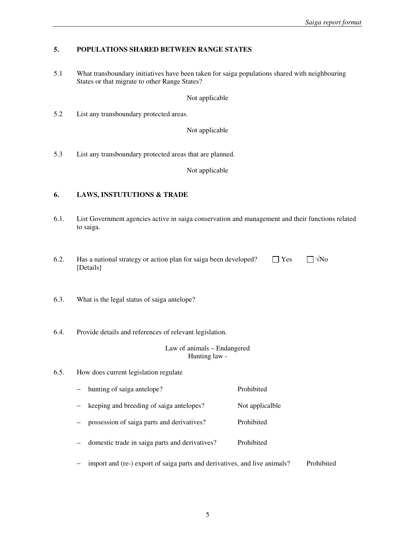### **5. POPULATIONS SHARED BETWEEN RANGE STATES**

5.1 What transboundary initiatives have been taken for saiga populations shared with neighbouring States or that migrate to other Range States?

Not applicable

5.2 List any transboundary protected areas.

Not applicable

5.3 List any transboundary protected areas that are planned.

Not applicable

# **6. LAWS, INSTUTUTIONS & TRADE**

- 6.1. List Government agencies active in saiga conservation and management and their functions related to saiga.
- 6.2. Has a national strategy or action plan for saiga been developed?  $\Box$  Yes  $\Box$   $\forall$ No [Details]
- 6.3. What is the legal status of saiga antelope?
- 6.4. Provide details and references of relevant legislation.

#### Law of animals – Endangered Hunting law -

- 6.5. How does current legislation regulate
	- − hunting of saiga antelope? Prohibited
	- keeping and breeding of saiga antelopes? Not applicalble
	- possession of saiga parts and derivatives? Prohibited
	- domestic trade in saiga parts and derivatives? Prohibited
	- − import and (re-) export of saiga parts and derivatives, and live animals? Prohibited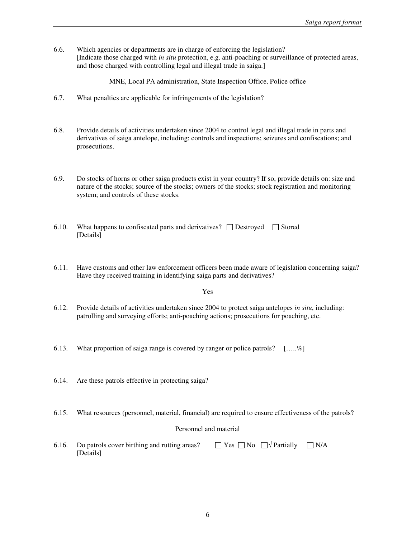6.6. Which agencies or departments are in charge of enforcing the legislation? [Indicate those charged with *in situ* protection, e.g. anti-poaching or surveillance of protected areas, and those charged with controlling legal and illegal trade in saiga.]

MNE, Local PA administration, State Inspection Office, Police office

- 6.7. What penalties are applicable for infringements of the legislation?
- 6.8. Provide details of activities undertaken since 2004 to control legal and illegal trade in parts and derivatives of saiga antelope, including: controls and inspections; seizures and confiscations; and prosecutions.
- 6.9. Do stocks of horns or other saiga products exist in your country? If so, provide details on: size and nature of the stocks; source of the stocks; owners of the stocks; stock registration and monitoring system; and controls of these stocks.
- 6.10. What happens to confiscated parts and derivatives?  $\Box$  Destroyed  $\Box$  Stored [Details]
- 6.11. Have customs and other law enforcement officers been made aware of legislation concerning saiga? Have they received training in identifying saiga parts and derivatives?

#### Yes

- 6.12. Provide details of activities undertaken since 2004 to protect saiga antelopes *in situ*, including: patrolling and surveying efforts; anti-poaching actions; prosecutions for poaching, etc.
- 6.13. What proportion of saiga range is covered by ranger or police patrols?  $[\dots, \mathcal{C}]$
- 6.14. Are these patrols effective in protecting saiga?
- 6.15. What resources (personnel, material, financial) are required to ensure effectiveness of the patrols?

#### Personnel and material

6.16. Do patrols cover birthing and rutting areas?  $\Box$  Yes  $\Box$  No  $\Box$   $\forall$  Partially  $\Box$  N/A [Details]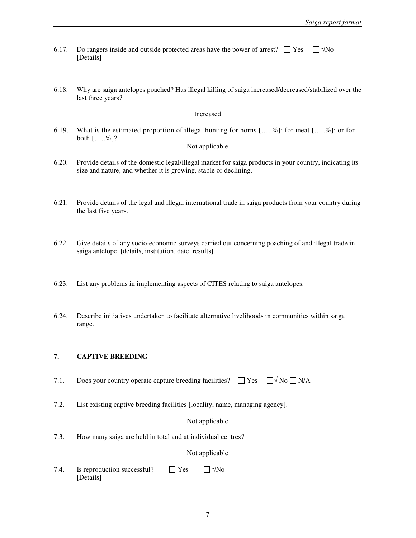- 6.17. Do rangers inside and outside protected areas have the power of arrest?  $\Box$  Yes  $\Box$   $\forall$ No [Details]
- 6.18. Why are saiga antelopes poached? Has illegal killing of saiga increased/decreased/stabilized over the last three years?

#### Increased

6.19. What is the estimated proportion of illegal hunting for horns […..%]; for meat […..%]; or for both […..%]?

#### Not applicable

- 6.20. Provide details of the domestic legal/illegal market for saiga products in your country, indicating its size and nature, and whether it is growing, stable or declining.
- 6.21. Provide details of the legal and illegal international trade in saiga products from your country during the last five years.
- 6.22. Give details of any socio-economic surveys carried out concerning poaching of and illegal trade in saiga antelope. [details, institution, date, results].
- 6.23. List any problems in implementing aspects of CITES relating to saiga antelopes.
- 6.24. Describe initiatives undertaken to facilitate alternative livelihoods in communities within saiga range.

### **7. CAPTIVE BREEDING**

- 7.1. Does your country operate capture breeding facilities?  $\Box$  Yes  $\Box \forall$  No  $\Box$  N/A
- 7.2. List existing captive breeding facilities [locality, name, managing agency].

#### Not applicable

7.3. How many saiga are held in total and at individual centres?

#### Not applicable

7.4. Is reproduction successful?  $\Box$  Yes  $\Box$   $\forall$ No [Details]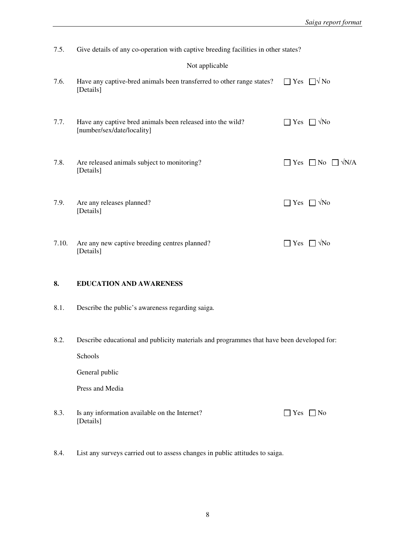7.5. Give details of any co-operation with captive breeding facilities in other states?

### Not applicable

| 7.6.  | Have any captive-bred animals been transferred to other range states? $\Box$ Yes $\Box \forall$ No<br>[Details] |                                |                                           |
|-------|-----------------------------------------------------------------------------------------------------------------|--------------------------------|-------------------------------------------|
| 7.7.  | Have any captive bred animals been released into the wild?<br>[number/sex/date/locality]                        |                                | $\Box$ Yes $\Box$ $\forall$ No            |
| 7.8.  | Are released animals subject to monitoring?<br>[Details]                                                        |                                | $\Box$ Yes $\Box$ No $\Box$ $\forall$ N/A |
| 7.9.  | Are any releases planned?<br>[Details]                                                                          | $\Box$ Yes $\Box$ $\forall$ No |                                           |
| 7.10. | Are any new captive breeding centres planned?<br>[Details]                                                      | $\mathsf{l}$ $\mathsf{l}$ Yes  | $\Box$ $\forall$ No                       |

# **8. EDUCATION AND AWARENESS**

- 8.1. Describe the public's awareness regarding saiga.
- 8.2. Describe educational and publicity materials and programmes that have been developed for:

Schools

General public

Press and Media

- 8.3. Is any information available on the Internet?  $\Box$  Yes  $\Box$  No [Details]
- 8.4. List any surveys carried out to assess changes in public attitudes to saiga.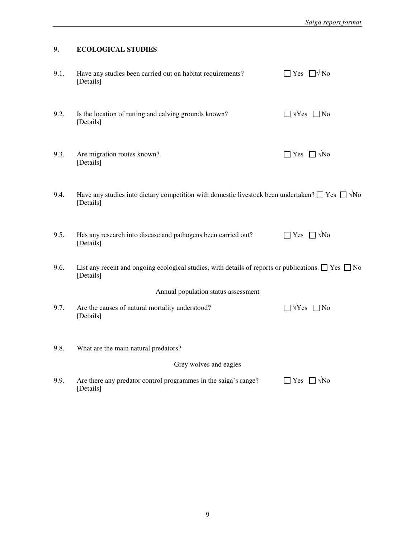# **9. ECOLOGICAL STUDIES**

| 9.1.                   | Have any studies been carried out on habitat requirements?<br>[Details]                                                              | $\Box$ Yes $\Box \forall$ No     |  |  |  |
|------------------------|--------------------------------------------------------------------------------------------------------------------------------------|----------------------------------|--|--|--|
| 9.2.                   | Is the location of rutting and calving grounds known?<br>[Details]                                                                   | $\Box$ $\forall$ Yes $\Box$ No   |  |  |  |
| 9.3.                   | Are migration routes known?<br>[Details]                                                                                             | $\Box$ Yes $\Box \sqrt{N_0}$     |  |  |  |
| 9.4.                   | Have any studies into dietary competition with domestic livestock been undertaken? $\square$ Yes $\square$ $\forall$ No<br>[Details] |                                  |  |  |  |
| 9.5.                   | Has any research into disease and pathogens been carried out?<br>[Details]                                                           | $\Box$ Yes $\Box \sqrt{N\omega}$ |  |  |  |
| 9.6.                   | List any recent and ongoing ecological studies, with details of reports or publications. $\Box$ Yes $\Box$ No<br>[Details]           |                                  |  |  |  |
|                        | Annual population status assessment                                                                                                  |                                  |  |  |  |
| 9.7.                   | Are the causes of natural mortality understood?<br>[Details]                                                                         | $\Box$ $\forall$ Yes $\Box$ No   |  |  |  |
| 9.8.                   | What are the main natural predators?                                                                                                 |                                  |  |  |  |
| Grey wolves and eagles |                                                                                                                                      |                                  |  |  |  |
| 9.9.                   | Are there any predator control programmes in the saiga's range?<br>[Details]                                                         | $\Box$ Yes $\Box$ $\forall$ No   |  |  |  |